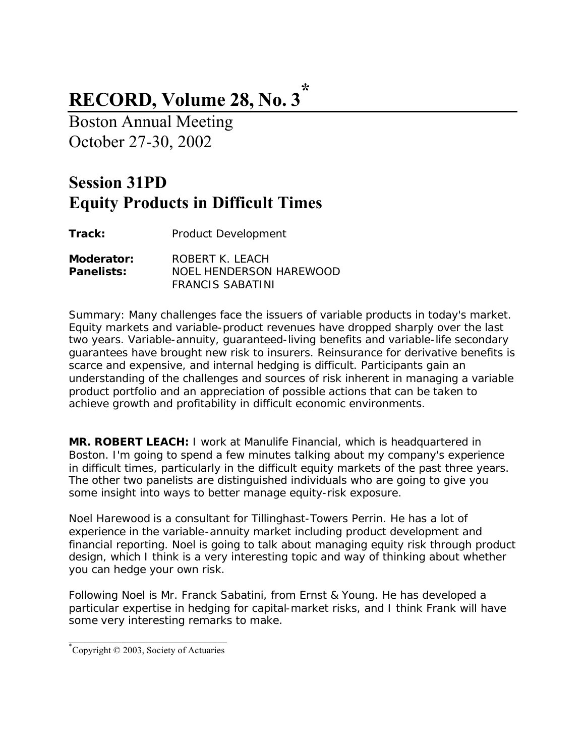#### **RECORD, Volume 28, No. 3 \***

Boston Annual Meeting October 27-30, 2002

### **Session 31PD Equity Products in Difficult Times**

Track: Product Development

**Moderator:** ROBERT K. LEACH **Panelists:** NOEL HENDERSON HAREWOOD FRANCIS SABATINI

*Summary: Many challenges face the issuers of variable products in today's market. Equity markets and variable-product revenues have dropped sharply over the last two years. Variable-annuity, guaranteed-living benefits and variable-life secondary guarantees have brought new risk to insurers. Reinsurance for derivative benefits is scarce and expensive, and internal hedging is difficult. Participants gain an understanding of the challenges and sources of risk inherent in managing a variable product portfolio and an appreciation of possible actions that can be taken to achieve growth and profitability in difficult economic environments.* 

**MR. ROBERT LEACH:** I work at Manulife Financial, which is headquartered in Boston. I'm going to spend a few minutes talking about my company's experience in difficult times, particularly in the difficult equity markets of the past three years. The other two panelists are distinguished individuals who are going to give you some insight into ways to better manage equity-risk exposure.

Noel Harewood is a consultant for Tillinghast-Towers Perrin. He has a lot of experience in the variable-annuity market including product development and financial reporting. Noel is going to talk about managing equity risk through product design, which I think is a very interesting topic and way of thinking about whether you can hedge your own risk.

Following Noel is Mr. Franck Sabatini, from Ernst & Young. He has developed a particular expertise in hedging for capital-market risks, and I think Frank will have some very interesting remarks to make.

\_\_\_\_\_\_\_\_\_\_\_\_\_\_\_\_\_\_\_\_\_\_\_\_\_\_\_\_\_\_\_\_\_ \* Copyright © 2003, Society of Actuaries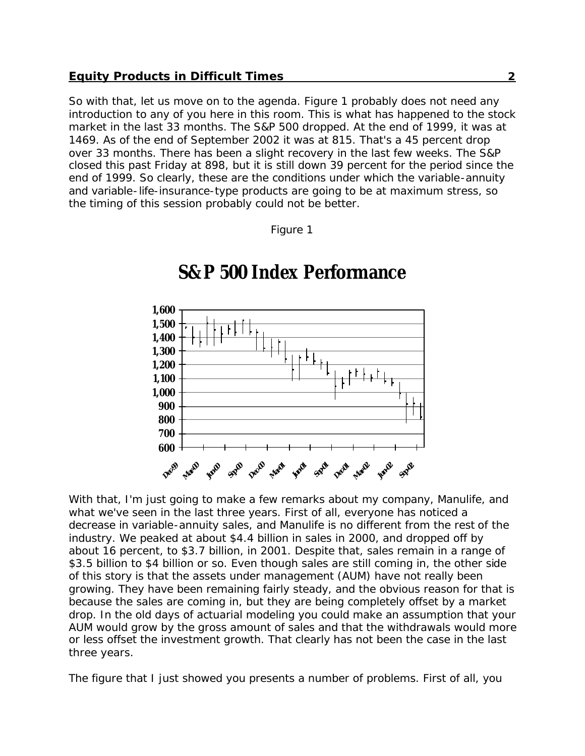So with that, let us move on to the agenda. Figure 1 probably does not need any introduction to any of you here in this room. This is what has happened to the stock market in the last 33 months. The S&P 500 dropped. At the end of 1999, it was at 1469. As of the end of September 2002 it was at 815. That's a 45 percent drop over 33 months. There has been a slight recovery in the last few weeks. The S&P closed this past Friday at 898, but it is still down 39 percent for the period since the end of 1999. So clearly, these are the conditions under which the variable-annuity and variable-life-insurance-type products are going to be at maximum stress, so the timing of this session probably could not be better.





### **S&P 500 Index Performance**

With that, I'm just going to make a few remarks about my company, Manulife, and what we've seen in the last three years. First of all, everyone has noticed a decrease in variable-annuity sales, and Manulife is no different from the rest of the industry. We peaked at about \$4.4 billion in sales in 2000, and dropped off by about 16 percent, to \$3.7 billion, in 2001. Despite that, sales remain in a range of \$3.5 billion to \$4 billion or so. Even though sales are still coming in, the other side of this story is that the assets under management (AUM) have not really been growing. They have been remaining fairly steady, and the obvious reason for that is because the sales are coming in, but they are being completely offset by a market drop. In the old days of actuarial modeling you could make an assumption that your AUM would grow by the gross amount of sales and that the withdrawals would more or less offset the investment growth. That clearly has not been the case in the last three years.

The figure that I just showed you presents a number of problems. First of all, you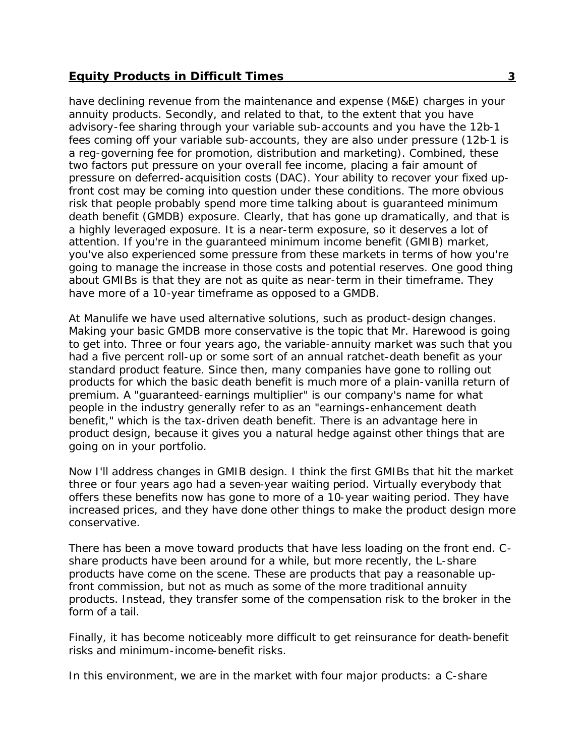have declining revenue from the maintenance and expense (M&E) charges in your annuity products. Secondly, and related to that, to the extent that you have advisory-fee sharing through your variable sub-accounts and you have the 12b-1 fees coming off your variable sub-accounts, they are also under pressure (12b-1 is a reg-governing fee for promotion, distribution and marketing). Combined, these two factors put pressure on your overall fee income, placing a fair amount of pressure on deferred-acquisition costs (DAC). Your ability to recover your fixed upfront cost may be coming into question under these conditions. The more obvious risk that people probably spend more time talking about is guaranteed minimum death benefit (GMDB) exposure. Clearly, that has gone up dramatically, and that is a highly leveraged exposure. It is a near-term exposure, so it deserves a lot of attention. If you're in the guaranteed minimum income benefit (GMIB) market, you've also experienced some pressure from these markets in terms of how you're going to manage the increase in those costs and potential reserves. One good thing about GMIBs is that they are not as quite as near-term in their timeframe. They have more of a 10-year timeframe as opposed to a GMDB.

At Manulife we have used alternative solutions, such as product-design changes. Making your basic GMDB more conservative is the topic that Mr. Harewood is going to get into. Three or four years ago, the variable-annuity market was such that you had a five percent roll-up or some sort of an annual ratchet-death benefit as your standard product feature. Since then, many companies have gone to rolling out products for which the basic death benefit is much more of a plain-vanilla return of premium. A "guaranteed-earnings multiplier" is our company's name for what people in the industry generally refer to as an "earnings-enhancement death benefit," which is the tax-driven death benefit. There is an advantage here in product design, because it gives you a natural hedge against other things that are going on in your portfolio.

Now I'll address changes in GMIB design. I think the first GMIBs that hit the market three or four years ago had a seven-year waiting period. Virtually everybody that offers these benefits now has gone to more of a 10-year waiting period. They have increased prices, and they have done other things to make the product design more conservative.

There has been a move toward products that have less loading on the front end. Cshare products have been around for a while, but more recently, the L-share products have come on the scene. These are products that pay a reasonable upfront commission, but not as much as some of the more traditional annuity products. Instead, they transfer some of the compensation risk to the broker in the form of a tail.

Finally, it has become noticeably more difficult to get reinsurance for death-benefit risks and minimum-income-benefit risks.

In this environment, we are in the market with four major products: a C-share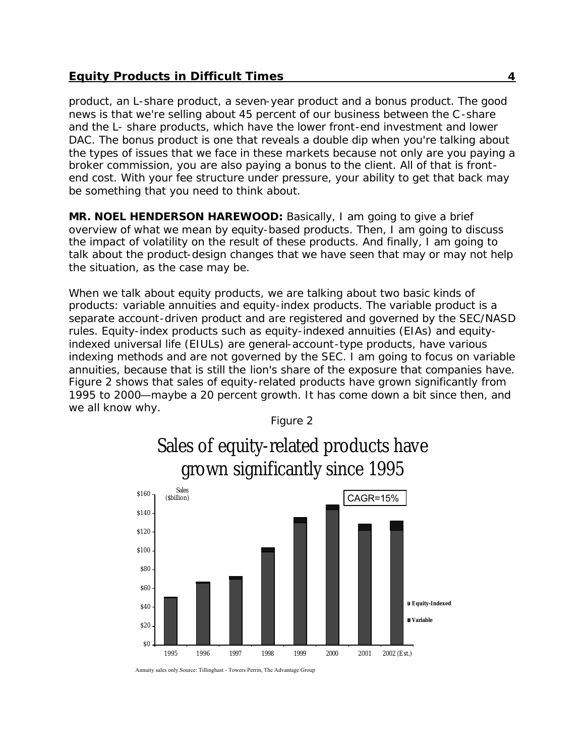product, an L-share product, a seven-year product and a bonus product. The good news is that we're selling about 45 percent of our business between the C-share and the L- share products, which have the lower front-end investment and lower DAC. The bonus product is one that reveals a double dip when you're talking about the types of issues that we face in these markets because not only are you paying a broker commission, you are also paying a bonus to the client. All of that is frontend cost. With your fee structure under pressure, your ability to get that back may be something that you need to think about.

**MR. NOEL HENDERSON HAREWOOD:** Basically, I am going to give a brief overview of what we mean by equity-based products. Then, I am going to discuss the impact of volatility on the result of these products. And finally, I am going to talk about the product-design changes that we have seen that may or may not help the situation, as the case may be.

When we talk about equity products, we are talking about two basic kinds of products: variable annuities and equity-index products. The variable product is a separate account-driven product and are registered and governed by the SEC/NASD rules. Equity-index products such as equity-indexed annuities (EIAs) and equityindexed universal life (EIULs) are general-account-type products, have various indexing methods and are not governed by the SEC. I am going to focus on variable annuities, because that is still the lion's share of the exposure that companies have. Figure 2 shows that sales of equity-related products have grown significantly from 1995 to 2000—maybe a 20 percent growth. It has come down a bit since then, and we all know why.

Figure 2



Annuity sales only.Source: Tillinghast - Towers Perrin, The Advantage Group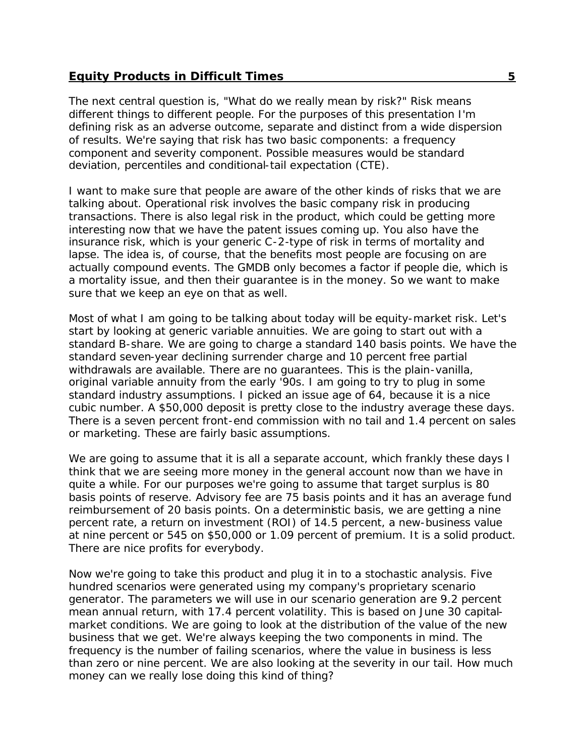The next central question is, "What do we really mean by risk?" Risk means different things to different people. For the purposes of this presentation I'm defining risk as an adverse outcome, separate and distinct from a wide dispersion of results. We're saying that risk has two basic components: a frequency component and severity component. Possible measures would be standard deviation, percentiles and conditional-tail expectation (CTE).

I want to make sure that people are aware of the other kinds of risks that we are talking about. Operational risk involves the basic company risk in producing transactions. There is also legal risk in the product, which could be getting more interesting now that we have the patent issues coming up. You also have the insurance risk, which is your generic C-2-type of risk in terms of mortality and lapse. The idea is, of course, that the benefits most people are focusing on are actually compound events. The GMDB only becomes a factor if people die, which is a mortality issue, and then their guarantee is in the money. So we want to make sure that we keep an eye on that as well.

Most of what I am going to be talking about today will be equity-market risk. Let's start by looking at generic variable annuities. We are going to start out with a standard B-share. We are going to charge a standard 140 basis points. We have the standard seven-year declining surrender charge and 10 percent free partial withdrawals are available. There are no guarantees. This is the plain-vanilla, original variable annuity from the early '90s. I am going to try to plug in some standard industry assumptions. I picked an issue age of 64, because it is a nice cubic number. A \$50,000 deposit is pretty close to the industry average these days. There is a seven percent front-end commission with no tail and 1.4 percent on sales or marketing. These are fairly basic assumptions.

We are going to assume that it is all a separate account, which frankly these days I think that we are seeing more money in the general account now than we have in quite a while. For our purposes we're going to assume that target surplus is 80 basis points of reserve. Advisory fee are 75 basis points and it has an average fund reimbursement of 20 basis points. On a deterministic basis, we are getting a nine percent rate, a return on investment (ROI) of 14.5 percent, a new-business value at nine percent or 545 on \$50,000 or 1.09 percent of premium. It is a solid product. There are nice profits for everybody.

Now we're going to take this product and plug it in to a stochastic analysis. Five hundred scenarios were generated using my company's proprietary scenario generator. The parameters we will use in our scenario generation are 9.2 percent mean annual return, with 17.4 percent volatility. This is based on June 30 capitalmarket conditions. We are going to look at the distribution of the value of the new business that we get. We're always keeping the two components in mind. The frequency is the number of failing scenarios, where the value in business is less than zero or nine percent. We are also looking at the severity in our tail. How much money can we really lose doing this kind of thing?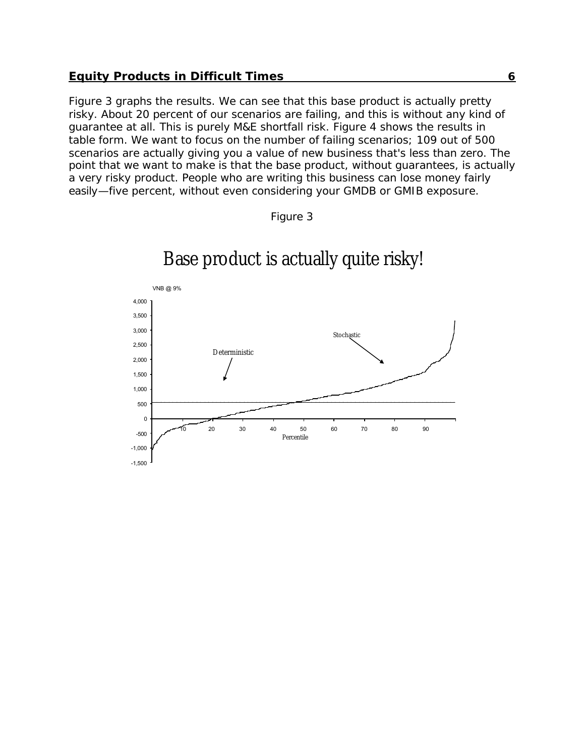Figure 3 graphs the results. We can see that this base product is actually pretty risky. About 20 percent of our scenarios are failing, and this is without any kind of guarantee at all. This is purely M&E shortfall risk. Figure 4 shows the results in table form. We want to focus on the number of failing scenarios; 109 out of 500 scenarios are actually giving you a value of new business that's less than zero. The point that we want to make is that the base product, without guarantees, is actually a very risky product. People who are writing this business can lose money fairly easily—five percent, without even considering your GMDB or GMIB exposure.



# Base product is actually quite risky!

Figure 3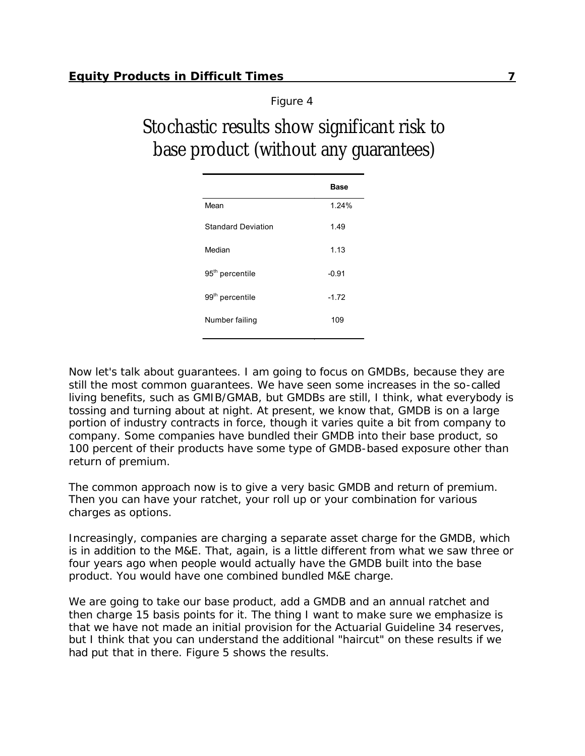Figure 4

## Stochastic results show significant risk to base product (without any guarantees)

|                             | Base    |
|-----------------------------|---------|
| Mean                        | 1.24%   |
| <b>Standard Deviation</b>   | 1.49    |
| Median                      | 1.13    |
| 95 <sup>th</sup> percentile | $-0.91$ |
| 99 <sup>th</sup> percentile | $-1.72$ |
| Number failing              | 109     |
|                             |         |

Now let's talk about guarantees. I am going to focus on GMDBs, because they are still the most common guarantees. We have seen some increases in the so-called living benefits, such as GMIB/GMAB, but GMDBs are still, I think, what everybody is tossing and turning about at night. At present, we know that, GMDB is on a large portion of industry contracts in force, though it varies quite a bit from company to company. Some companies have bundled their GMDB into their base product, so 100 percent of their products have some type of GMDB-based exposure other than return of premium.

The common approach now is to give a very basic GMDB and return of premium. Then you can have your ratchet, your roll up or your combination for various charges as options.

Increasingly, companies are charging a separate asset charge for the GMDB, which is in addition to the M&E. That, again, is a little different from what we saw three or four years ago when people would actually have the GMDB built into the base product. You would have one combined bundled M&E charge.

We are going to take our base product, add a GMDB and an annual ratchet and then charge 15 basis points for it. The thing I want to make sure we emphasize is that we have not made an initial provision for the Actuarial Guideline 34 reserves, but I think that you can understand the additional "haircut" on these results if we had put that in there. Figure 5 shows the results.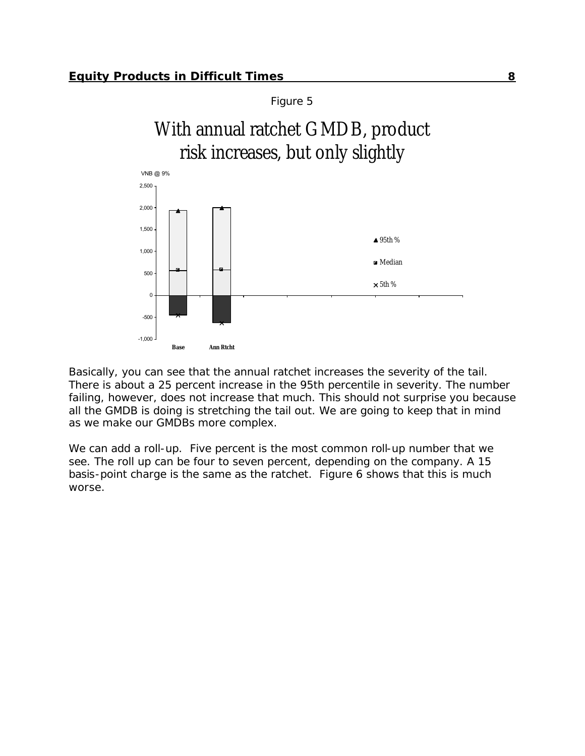

Basically, you can see that the annual ratchet increases the severity of the tail. There is about a 25 percent increase in the 95th percentile in severity. The number failing, however, does not increase that much. This should not surprise you because all the GMDB is doing is stretching the tail out. We are going to keep that in mind as we make our GMDBs more complex.

We can add a roll-up. Five percent is the most common roll-up number that we see. The roll up can be four to seven percent, depending on the company. A 15 basis-point charge is the same as the ratchet. Figure 6 shows that this is much worse.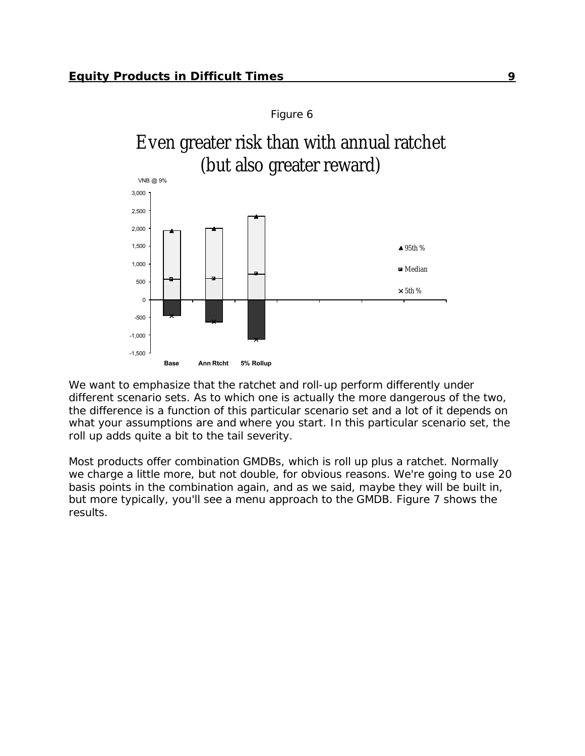

We want to emphasize that the ratchet and roll-up perform differently under different scenario sets. As to which one is actually the more dangerous of the two, the difference is a function of this particular scenario set and a lot of it depends on what your assumptions are and where you start. In this particular scenario set, the roll up adds quite a bit to the tail severity.

Most products offer combination GMDBs, which is roll up plus a ratchet. Normally we charge a little more, but not double, for obvious reasons. We're going to use 20 basis points in the combination again, and as we said, maybe they will be built in, but more typically, you'll see a menu approach to the GMDB. Figure 7 shows the results.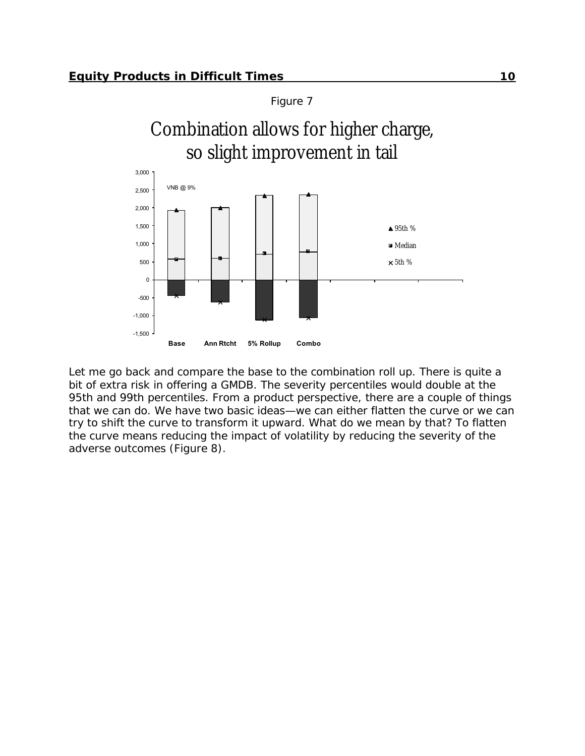![](_page_9_Figure_1.jpeg)

![](_page_9_Figure_2.jpeg)

Let me go back and compare the base to the combination roll up. There is quite a bit of extra risk in offering a GMDB. The severity percentiles would double at the 95th and 99th percentiles. From a product perspective, there are a couple of things that we can do. We have two basic ideas—we can either flatten the curve or we can try to shift the curve to transform it upward. What do we mean by that? To flatten the curve means reducing the impact of volatility by reducing the severity of the adverse outcomes (Figure 8).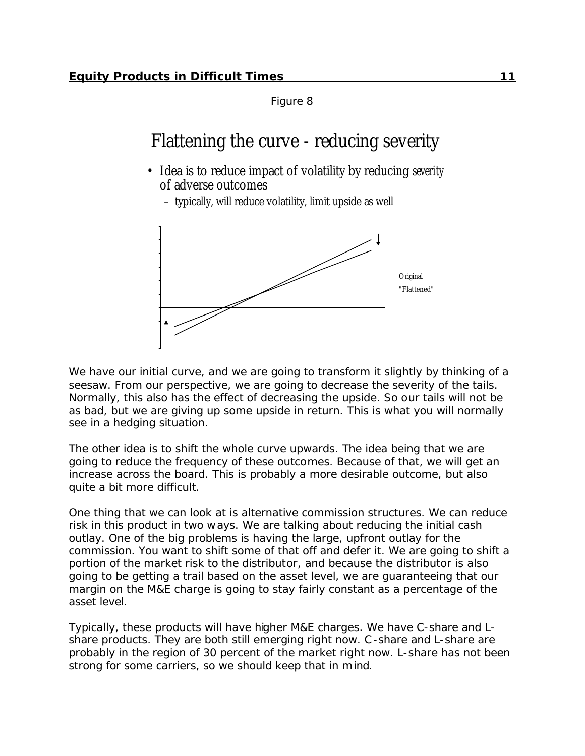Figure 8

## Flattening the curve - reducing severity

- Idea is to reduce impact of volatility by reducing *severity* of adverse outcomes
	- typically, will reduce volatility, limit upside as well

![](_page_10_Figure_5.jpeg)

We have our initial curve, and we are going to transform it slightly by thinking of a seesaw. From our perspective, we are going to decrease the severity of the tails. Normally, this also has the effect of decreasing the upside. So our tails will not be as bad, but we are giving up some upside in return. This is what you will normally see in a hedging situation.

The other idea is to shift the whole curve upwards. The idea being that we are going to reduce the frequency of these outcomes. Because of that, we will get an increase across the board. This is probably a more desirable outcome, but also quite a bit more difficult.

One thing that we can look at is alternative commission structures. We can reduce risk in this product in two ways. We are talking about reducing the initial cash outlay. One of the big problems is having the large, upfront outlay for the commission. You want to shift some of that off and defer it. We are going to shift a portion of the market risk to the distributor, and because the distributor is also going to be getting a trail based on the asset level, we are guaranteeing that our margin on the M&E charge is going to stay fairly constant as a percentage of the asset level.

Typically, these products will have higher M&E charges. We have C-share and Lshare products. They are both still emerging right now. C-share and L-share are probably in the region of 30 percent of the market right now. L-share has not been strong for some carriers, so we should keep that in mind.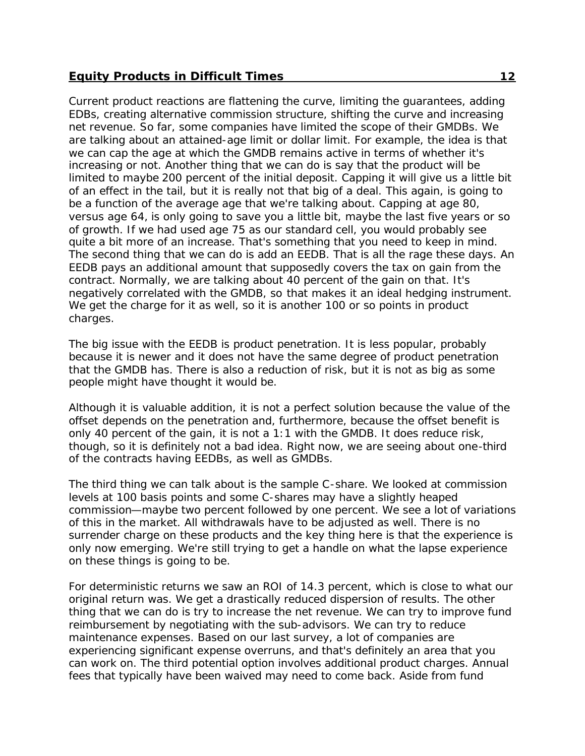Current product reactions are flattening the curve, limiting the guarantees, adding EDBs, creating alternative commission structure, shifting the curve and increasing net revenue. So far, some companies have limited the scope of their GMDBs. We are talking about an attained-age limit or dollar limit. For example, the idea is that we can cap the age at which the GMDB remains active in terms of whether it's increasing or not. Another thing that we can do is say that the product will be limited to maybe 200 percent of the initial deposit. Capping it will give us a little bit of an effect in the tail, but it is really not that big of a deal. This again, is going to be a function of the average age that we're talking about. Capping at age 80, versus age 64, is only going to save you a little bit, maybe the last five years or so of growth. If we had used age 75 as our standard cell, you would probably see quite a bit more of an increase. That's something that you need to keep in mind. The second thing that we can do is add an EEDB. That is all the rage these days. An EEDB pays an additional amount that supposedly covers the tax on gain from the contract. Normally, we are talking about 40 percent of the gain on that. It's negatively correlated with the GMDB, so that makes it an ideal hedging instrument. We get the charge for it as well, so it is another 100 or so points in product charges.

The big issue with the EEDB is product penetration. It is less popular, probably because it is newer and it does not have the same degree of product penetration that the GMDB has. There is also a reduction of risk, but it is not as big as some people might have thought it would be.

Although it is valuable addition, it is not a perfect solution because the value of the offset depends on the penetration and, furthermore, because the offset benefit is only 40 percent of the gain, it is not a 1:1 with the GMDB. It does reduce risk, though, so it is definitely not a bad idea. Right now, we are seeing about one-third of the contracts having EEDBs, as well as GMDBs.

The third thing we can talk about is the sample C-share. We looked at commission levels at 100 basis points and some C-shares may have a slightly heaped commission—maybe two percent followed by one percent. We see a lot of variations of this in the market. All withdrawals have to be adjusted as well. There is no surrender charge on these products and the key thing here is that the experience is only now emerging. We're still trying to get a handle on what the lapse experience on these things is going to be.

For deterministic returns we saw an ROI of 14.3 percent, which is close to what our original return was. We get a drastically reduced dispersion of results. The other thing that we can do is try to increase the net revenue. We can try to improve fund reimbursement by negotiating with the sub-advisors. We can try to reduce maintenance expenses. Based on our last survey, a lot of companies are experiencing significant expense overruns, and that's definitely an area that you can work on. The third potential option involves additional product charges. Annual fees that typically have been waived may need to come back. Aside from fund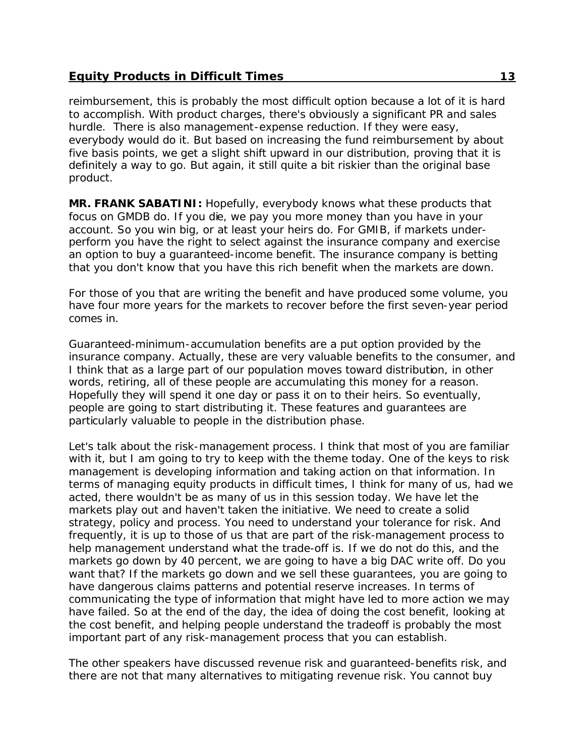reimbursement, this is probably the most difficult option because a lot of it is hard to accomplish. With product charges, there's obviously a significant PR and sales hurdle. There is also management-expense reduction. If they were easy, everybody would do it. But based on increasing the fund reimbursement by about five basis points, we get a slight shift upward in our distribution, proving that it is definitely a way to go. But again, it still quite a bit riskier than the original base product.

**MR. FRANK SABATINI:** Hopefully, everybody knows what these products that focus on GMDB do. If you die, we pay you more money than you have in your account. So you win big, or at least your heirs do. For GMIB, if markets underperform you have the right to select against the insurance company and exercise an option to buy a guaranteed-income benefit. The insurance company is betting that you don't know that you have this rich benefit when the markets are down.

For those of you that are writing the benefit and have produced some volume, you have four more years for the markets to recover before the first seven-year period comes in.

Guaranteed-minimum-accumulation benefits are a put option provided by the insurance company. Actually, these are very valuable benefits to the consumer, and I think that as a large part of our population moves toward distribution, in other words, retiring, all of these people are accumulating this money for a reason. Hopefully they will spend it one day or pass it on to their heirs. So eventually, people are going to start distributing it. These features and guarantees are particularly valuable to people in the distribution phase.

Let's talk about the risk-management process. I think that most of you are familiar with it, but I am going to try to keep with the theme today. One of the keys to risk management is developing information and taking action on that information. In terms of managing equity products in difficult times, I think for many of us, had we acted, there wouldn't be as many of us in this session today. We have let the markets play out and haven't taken the initiative. We need to create a solid strategy, policy and process. You need to understand your tolerance for risk. And frequently, it is up to those of us that are part of the risk-management process to help management understand what the trade-off is. If we do not do this, and the markets go down by 40 percent, we are going to have a big DAC write off. Do you want that? If the markets go down and we sell these guarantees, you are going to have dangerous claims patterns and potential reserve increases. In terms of communicating the type of information that might have led to more action we may have failed. So at the end of the day, the idea of doing the cost benefit, looking at the cost benefit, and helping people understand the tradeoff is probably the most important part of any risk-management process that you can establish.

The other speakers have discussed revenue risk and guaranteed-benefits risk, and there are not that many alternatives to mitigating revenue risk. You cannot buy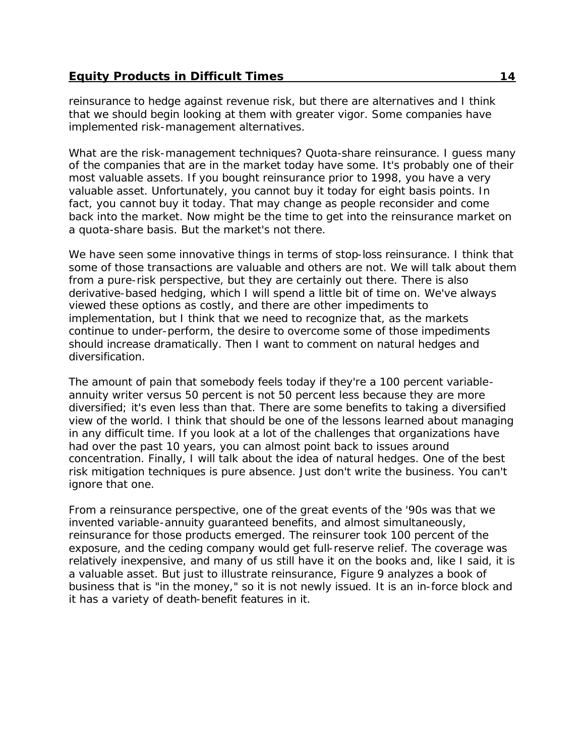reinsurance to hedge against revenue risk, but there are alternatives and I think that we should begin looking at them with greater vigor. Some companies have implemented risk-management alternatives.

What are the risk-management techniques? Quota-share reinsurance. I guess many of the companies that are in the market today have some. It's probably one of their most valuable assets. If you bought reinsurance prior to 1998, you have a very valuable asset. Unfortunately, you cannot buy it today for eight basis points. In fact, you cannot buy it today. That may change as people reconsider and come back into the market. Now might be the time to get into the reinsurance market on a quota-share basis. But the market's not there.

We have seen some innovative things in terms of stop-loss reinsurance. I think that some of those transactions are valuable and others are not. We will talk about them from a pure-risk perspective, but they are certainly out there. There is also derivative-based hedging, which I will spend a little bit of time on. We've always viewed these options as costly, and there are other impediments to implementation, but I think that we need to recognize that, as the markets continue to under-perform, the desire to overcome some of those impediments should increase dramatically. Then I want to comment on natural hedges and diversification.

The amount of pain that somebody feels today if they're a 100 percent variableannuity writer versus 50 percent is not 50 percent less because they are more diversified; it's even less than that. There are some benefits to taking a diversified view of the world. I think that should be one of the lessons learned about managing in any difficult time. If you look at a lot of the challenges that organizations have had over the past 10 years, you can almost point back to issues around concentration. Finally, I will talk about the idea of natural hedges. One of the best risk mitigation techniques is pure absence. Just don't write the business. You can't ignore that one.

From a reinsurance perspective, one of the great events of the '90s was that we invented variable-annuity guaranteed benefits, and almost simultaneously, reinsurance for those products emerged. The reinsurer took 100 percent of the exposure, and the ceding company would get full-reserve relief. The coverage was relatively inexpensive, and many of us still have it on the books and, like I said, it is a valuable asset. But just to illustrate reinsurance, Figure 9 analyzes a book of business that is "in the money," so it is not newly issued. It is an in-force block and it has a variety of death-benefit features in it.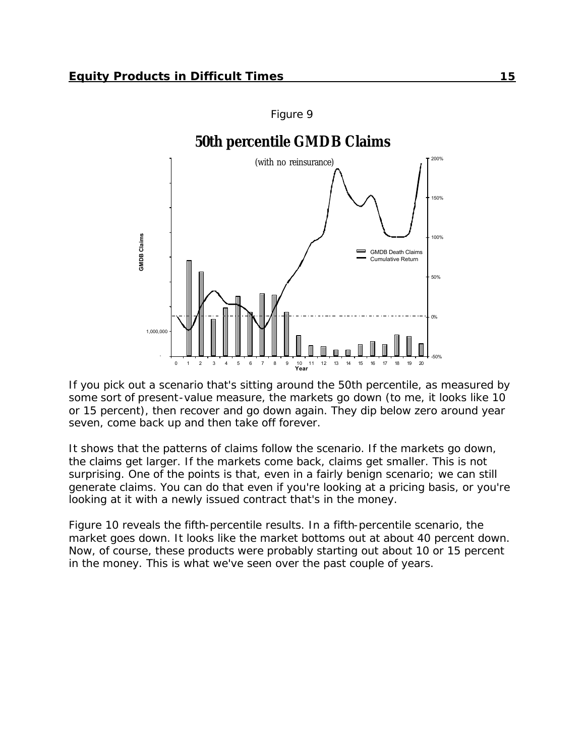![](_page_14_Figure_1.jpeg)

If you pick out a scenario that's sitting around the 50th percentile, as measured by some sort of present-value measure, the markets go down (to me, it looks like 10 or 15 percent), then recover and go down again. They dip below zero around year seven, come back up and then take off forever.

It shows that the patterns of claims follow the scenario. If the markets go down, the claims get larger. If the markets come back, claims get smaller. This is not surprising. One of the points is that, even in a fairly benign scenario; we can still generate claims. You can do that even if you're looking at a pricing basis, or you're looking at it with a newly issued contract that's in the money.

Figure 10 reveals the fifth-percentile results. In a fifth-percentile scenario, the market goes down. It looks like the market bottoms out at about 40 percent down. Now, of course, these products were probably starting out about 10 or 15 percent in the money. This is what we've seen over the past couple of years.

Figure 9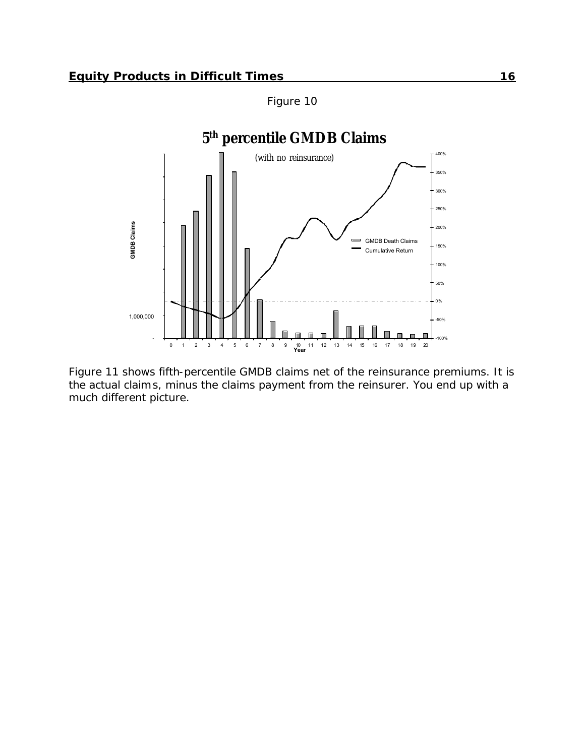Figure 10

![](_page_15_Figure_2.jpeg)

Figure 11 shows fifth-percentile GMDB claims net of the reinsurance premiums. It is the actual claims, minus the claims payment from the reinsurer. You end up with a much different picture.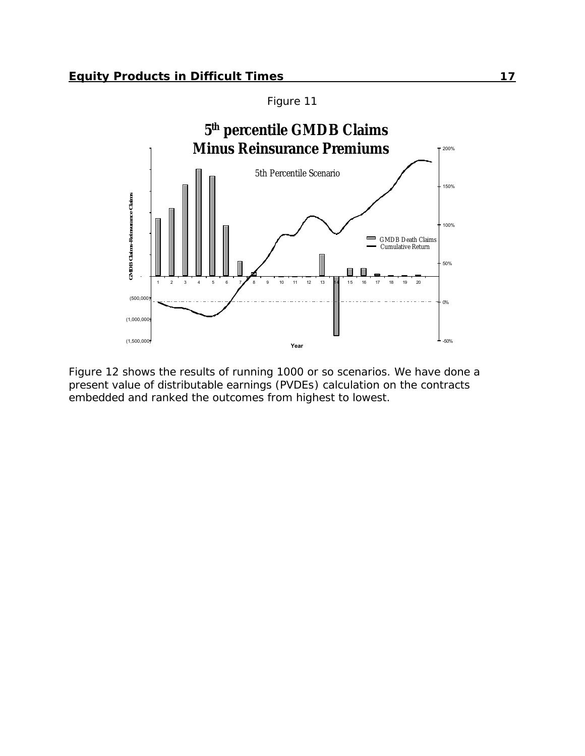![](_page_16_Figure_1.jpeg)

![](_page_16_Figure_2.jpeg)

Figure 12 shows the results of running 1000 or so scenarios. We have done a present value of distributable earnings (PVDEs) calculation on the contracts embedded and ranked the outcomes from highest to lowest.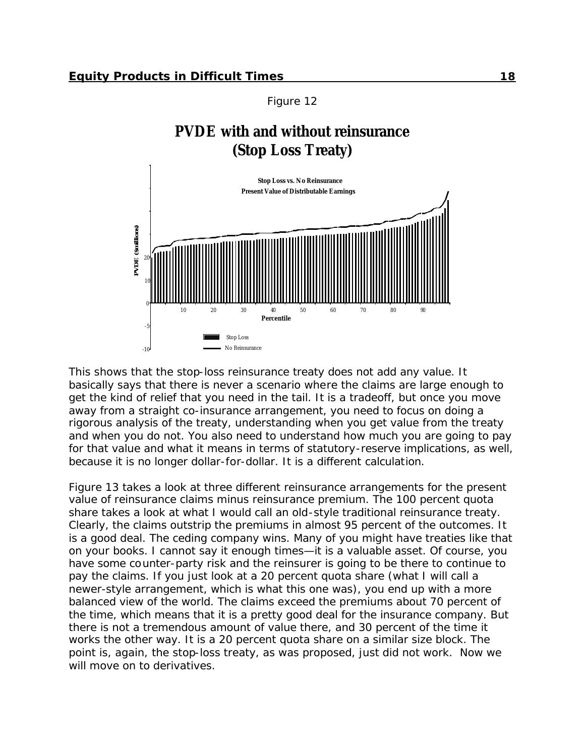Figure 12

### **PVDE with and without reinsurance (Stop Loss Treaty)**

![](_page_17_Figure_3.jpeg)

This shows that the stop-loss reinsurance treaty does not add any value. It basically says that there is never a scenario where the claims are large enough to get the kind of relief that you need in the tail. It is a tradeoff, but once you move away from a straight co-insurance arrangement, you need to focus on doing a rigorous analysis of the treaty, understanding when you get value from the treaty and when you do not. You also need to understand how much you are going to pay for that value and what it means in terms of statutory-reserve implications, as well, because it is no longer dollar-for-dollar. It is a different calculation.

Figure 13 takes a look at three different reinsurance arrangements for the present value of reinsurance claims minus reinsurance premium. The 100 percent quota share takes a look at what I would call an old-style traditional reinsurance treaty. Clearly, the claims outstrip the premiums in almost 95 percent of the outcomes. It is a good deal. The ceding company wins. Many of you might have treaties like that on your books. I cannot say it enough times—it is a valuable asset. Of course, you have some counter-party risk and the reinsurer is going to be there to continue to pay the claims. If you just look at a 20 percent quota share (what I will call a newer-style arrangement, which is what this one was), you end up with a more balanced view of the world. The claims exceed the premiums about 70 percent of the time, which means that it is a pretty good deal for the insurance company. But there is not a tremendous amount of value there, and 30 percent of the time it works the other way. It is a 20 percent quota share on a similar size block. The point is, again, the stop-loss treaty, as was proposed, just did not work. Now we will move on to derivatives.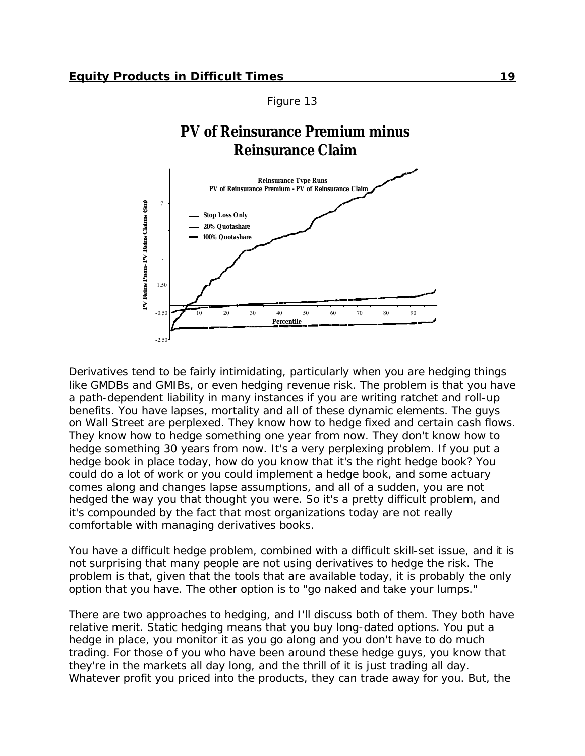Figure 13

### **PV of Reinsurance Premium minus Reinsurance Claim**

![](_page_18_Figure_3.jpeg)

Derivatives tend to be fairly intimidating, particularly when you are hedging things like GMDBs and GMIBs, or even hedging revenue risk. The problem is that you have a path-dependent liability in many instances if you are writing ratchet and roll-up benefits. You have lapses, mortality and all of these dynamic elements. The guys on Wall Street are perplexed. They know how to hedge fixed and certain cash flows. They know how to hedge something one year from now. They don't know how to hedge something 30 years from now. It's a very perplexing problem. If you put a hedge book in place today, how do you know that it's the right hedge book? You could do a lot of work or you could implement a hedge book, and some actuary comes along and changes lapse assumptions, and all of a sudden, you are not hedged the way you that thought you were. So it's a pretty difficult problem, and it's compounded by the fact that most organizations today are not really comfortable with managing derivatives books.

You have a difficult hedge problem, combined with a difficult skill-set issue, and it is not surprising that many people are not using derivatives to hedge the risk. The problem is that, given that the tools that are available today, it is probably the only option that you have. The other option is to "go naked and take your lumps."

There are two approaches to hedging, and I'll discuss both of them. They both have relative merit. Static hedging means that you buy long-dated options. You put a hedge in place, you monitor it as you go along and you don't have to do much trading. For those of you who have been around these hedge guys, you know that they're in the markets all day long, and the thrill of it is just trading all day. Whatever profit you priced into the products, they can trade away for you. But, the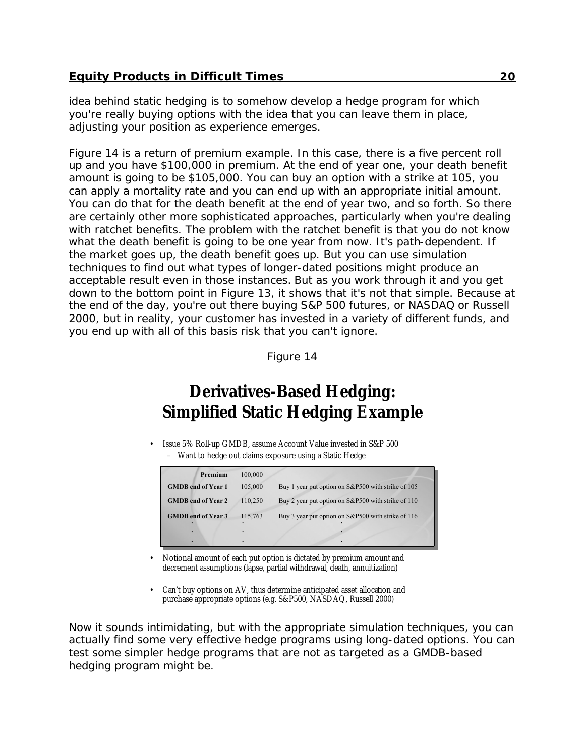idea behind static hedging is to somehow develop a hedge program for which you're really buying options with the idea that you can leave them in place, adjusting your position as experience emerges.

Figure 14 is a return of premium example. In this case, there is a five percent roll up and you have \$100,000 in premium. At the end of year one, your death benefit amount is going to be \$105,000. You can buy an option with a strike at 105, you can apply a mortality rate and you can end up with an appropriate initial amount. You can do that for the death benefit at the end of year two, and so forth. So there are certainly other more sophisticated approaches, particularly when you're dealing with ratchet benefits. The problem with the ratchet benefit is that you do not know what the death benefit is going to be one year from now. It's path-dependent. If the market goes up, the death benefit goes up. But you can use simulation techniques to find out what types of longer-dated positions might produce an acceptable result even in those instances. But as you work through it and you get down to the bottom point in Figure 13, it shows that it's not that simple. Because at the end of the day, you're out there buying S&P 500 futures, or NASDAQ or Russell 2000, but in reality, your customer has invested in a variety of different funds, and you end up with all of this basis risk that you can't ignore.

Figure 14

## **Derivatives-Based Hedging: Simplified Static Hedging Example**

• Issue 5% Roll-up GMDB, assume Account Value invested in S&P 500 – Want to hedge out claims exposure using a Static Hedge

| Premium                   | 100,000 |                                                    |
|---------------------------|---------|----------------------------------------------------|
| <b>GMDB</b> end of Year 1 | 105,000 | Buy 1 year put option on S&P500 with strike of 105 |
| <b>GMDB</b> end of Year 2 | 110,250 | Buy 2 year put option on S&P500 with strike of 110 |
| <b>GMDB</b> end of Year 3 | 115,763 | Buy 3 year put option on S&P500 with strike of 116 |
| ٠                         |         |                                                    |
|                           |         |                                                    |

- Notional amount of each put option is dictated by premium amount and decrement assumptions (lapse, partial withdrawal, death, annuitization)
- Can't buy options on AV, thus determine anticipated asset allocation and purchase appropriate options (e.g. S&P500, NASDAQ, Russell 2000)

Now it sounds intimidating, but with the appropriate simulation techniques, you can actually find some very effective hedge programs using long-dated options. You can test some simpler hedge programs that are not as targeted as a GMDB-based hedging program might be.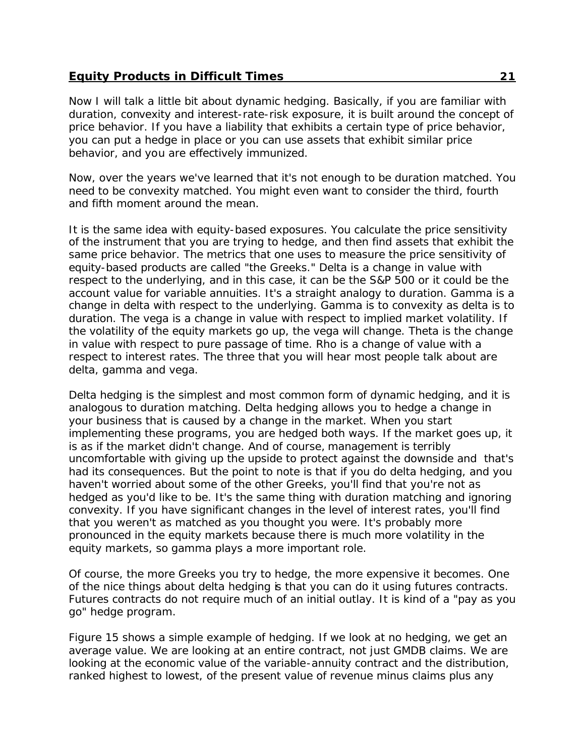Now I will talk a little bit about dynamic hedging. Basically, if you are familiar with duration, convexity and interest-rate-risk exposure, it is built around the concept of price behavior. If you have a liability that exhibits a certain type of price behavior, you can put a hedge in place or you can use assets that exhibit similar price behavior, and you are effectively immunized.

Now, over the years we've learned that it's not enough to be duration matched. You need to be convexity matched. You might even want to consider the third, fourth and fifth moment around the mean.

It is the same idea with equity-based exposures. You calculate the price sensitivity of the instrument that you are trying to hedge, and then find assets that exhibit the same price behavior. The metrics that one uses to measure the price sensitivity of equity-based products are called "the Greeks." Delta is a change in value with respect to the underlying, and in this case, it can be the S&P 500 or it could be the account value for variable annuities. It's a straight analogy to duration. Gamma is a change in delta with respect to the underlying. Gamma is to convexity as delta is to duration. The vega is a change in value with respect to implied market volatility. If the volatility of the equity markets go up, the vega will change. Theta is the change in value with respect to pure passage of time. Rho is a change of value with a respect to interest rates. The three that you will hear most people talk about are delta, gamma and vega.

Delta hedging is the simplest and most common form of dynamic hedging, and it is analogous to duration matching. Delta hedging allows you to hedge a change in your business that is caused by a change in the market. When you start implementing these programs, you are hedged both ways. If the market goes up, it is as if the market didn't change. And of course, management is terribly uncomfortable with giving up the upside to protect against the downside and that's had its consequences. But the point to note is that if you do delta hedging, and you haven't worried about some of the other Greeks, you'll find that you're not as hedged as you'd like to be. It's the same thing with duration matching and ignoring convexity. If you have significant changes in the level of interest rates, you'll find that you weren't as matched as you thought you were. It's probably more pronounced in the equity markets because there is much more volatility in the equity markets, so gamma plays a more important role.

Of course, the more Greeks you try to hedge, the more expensive it becomes. One of the nice things about delta hedging is that you can do it using futures contracts. Futures contracts do not require much of an initial outlay. It is kind of a "pay as you go" hedge program.

Figure 15 shows a simple example of hedging. If we look at no hedging, we get an average value. We are looking at an entire contract, not just GMDB claims. We are looking at the economic value of the variable-annuity contract and the distribution, ranked highest to lowest, of the present value of revenue minus claims plus any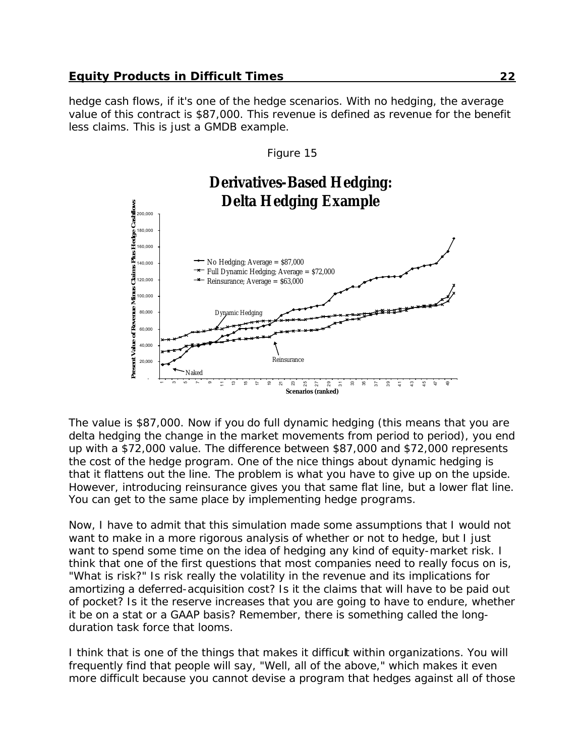hedge cash flows, if it's one of the hedge scenarios. With no hedging, the average value of this contract is \$87,000. This revenue is defined as revenue for the benefit less claims. This is just a GMDB example.

Figure 15

![](_page_21_Figure_2.jpeg)

The value is \$87,000. Now if you do full dynamic hedging (this means that you are delta hedging the change in the market movements from period to period), you end up with a \$72,000 value. The difference between \$87,000 and \$72,000 represents the cost of the hedge program. One of the nice things about dynamic hedging is that it flattens out the line. The problem is what you have to give up on the upside. However, introducing reinsurance gives you that same flat line, but a lower flat line. You can get to the same place by implementing hedge programs.

Now, I have to admit that this simulation made some assumptions that I would not want to make in a more rigorous analysis of whether or not to hedge, but I just want to spend some time on the idea of hedging any kind of equity-market risk. I think that one of the first questions that most companies need to really focus on is, "What is risk?" Is risk really the volatility in the revenue and its implications for amortizing a deferred-acquisition cost? Is it the claims that will have to be paid out of pocket? Is it the reserve increases that you are going to have to endure, whether it be on a stat or a GAAP basis? Remember, there is something called the longduration task force that looms.

I think that is one of the things that makes it difficult within organizations. You will frequently find that people will say, "Well, all of the above," which makes it even more difficult because you cannot devise a program that hedges against all of those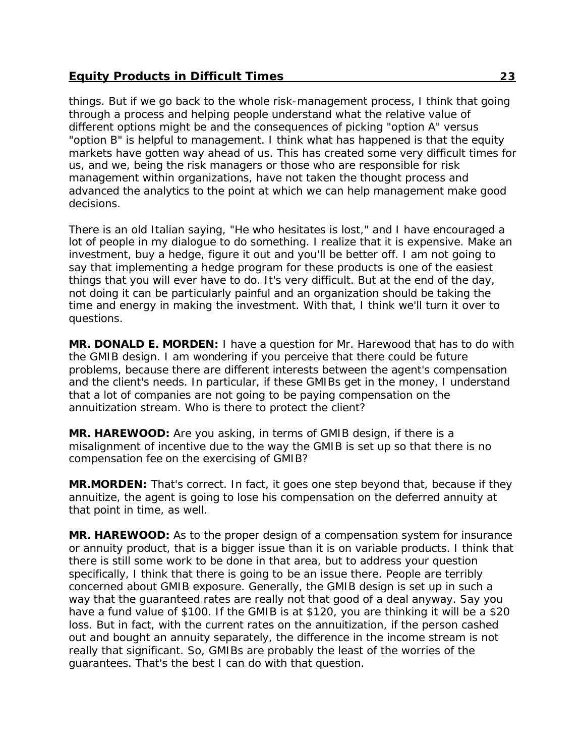things. But if we go back to the whole risk-management process, I think that going through a process and helping people understand what the relative value of different options might be and the consequences of picking "option A" versus "option B" is helpful to management. I think what has happened is that the equity markets have gotten way ahead of us. This has created some very difficult times for us, and we, being the risk managers or those who are responsible for risk management within organizations, have not taken the thought process and advanced the analytics to the point at which we can help management make good decisions.

There is an old Italian saying, "He who hesitates is lost," and I have encouraged a lot of people in my dialogue to do something. I realize that it is expensive. Make an investment, buy a hedge, figure it out and you'll be better off. I am not going to say that implementing a hedge program for these products is one of the easiest things that you will ever have to do. It's very difficult. But at the end of the day, not doing it can be particularly painful and an organization should be taking the time and energy in making the investment. With that, I think we'll turn it over to questions.

**MR. DONALD E. MORDEN:** I have a question for Mr. Harewood that has to do with the GMIB design. I am wondering if you perceive that there could be future problems, because there are different interests between the agent's compensation and the client's needs. In particular, if these GMIBs get in the money, I understand that a lot of companies are not going to be paying compensation on the annuitization stream. Who is there to protect the client?

**MR. HAREWOOD:** Are you asking, in terms of GMIB design, if there is a misalignment of incentive due to the way the GMIB is set up so that there is no compensation fee on the exercising of GMIB?

**MR.MORDEN:** That's correct. In fact, it goes one step beyond that, because if they annuitize, the agent is going to lose his compensation on the deferred annuity at that point in time, as well.

**MR. HAREWOOD:** As to the proper design of a compensation system for insurance or annuity product, that is a bigger issue than it is on variable products. I think that there is still some work to be done in that area, but to address your question specifically, I think that there is going to be an issue there. People are terribly concerned about GMIB exposure. Generally, the GMIB design is set up in such a way that the guaranteed rates are really not that good of a deal anyway. Say you have a fund value of \$100. If the GMIB is at \$120, you are thinking it will be a \$20 loss. But in fact, with the current rates on the annuitization, if the person cashed out and bought an annuity separately, the difference in the income stream is not really that significant. So, GMIBs are probably the least of the worries of the guarantees. That's the best I can do with that question.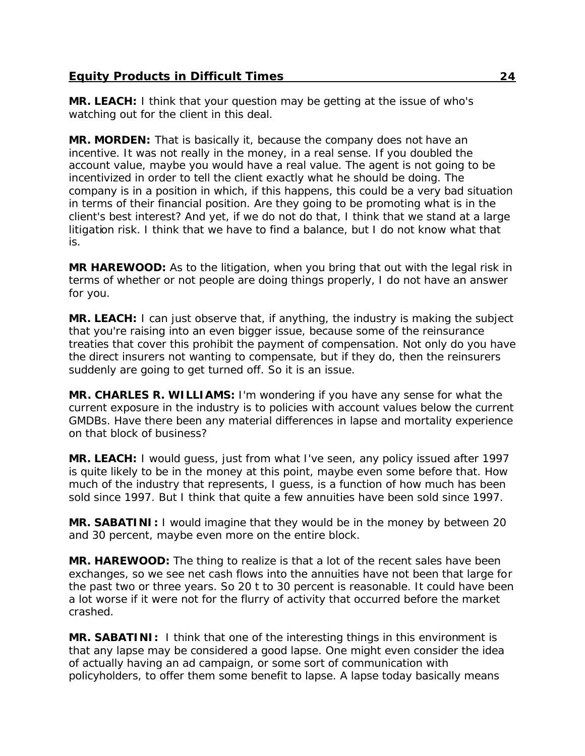**MR. LEACH:** I think that your question may be getting at the issue of who's watching out for the client in this deal.

**MR. MORDEN:** That is basically it, because the company does not have an incentive. It was not really in the money, in a real sense. If you doubled the account value, maybe you would have a real value. The agent is not going to be incentivized in order to tell the client exactly what he should be doing. The company is in a position in which, if this happens, this could be a very bad situation in terms of their financial position. Are they going to be promoting what is in the client's best interest? And yet, if we do not do that, I think that we stand at a large litigation risk. I think that we have to find a balance, but I do not know what that is.

**MR HAREWOOD:** As to the litigation, when you bring that out with the legal risk in terms of whether or not people are doing things properly, I do not have an answer for you.

**MR. LEACH:** I can just observe that, if anything, the industry is making the subject that you're raising into an even bigger issue, because some of the reinsurance treaties that cover this prohibit the payment of compensation. Not only do you have the direct insurers not wanting to compensate, but if they do, then the reinsurers suddenly are going to get turned off. So it is an issue.

**MR. CHARLES R. WILLIAMS:** I'm wondering if you have any sense for what the current exposure in the industry is to policies with account values below the current GMDBs. Have there been any material differences in lapse and mortality experience on that block of business?

**MR. LEACH:** I would guess, just from what I've seen, any policy issued after 1997 is quite likely to be in the money at this point, maybe even some before that. How much of the industry that represents, I guess, is a function of how much has been sold since 1997. But I think that quite a few annuities have been sold since 1997.

**MR. SABATINI:** I would imagine that they would be in the money by between 20 and 30 percent, maybe even more on the entire block.

**MR. HAREWOOD:** The thing to realize is that a lot of the recent sales have been exchanges, so we see net cash flows into the annuities have not been that large for the past two or three years. So 20 t to 30 percent is reasonable. It could have been a lot worse if it were not for the flurry of activity that occurred before the market crashed.

**MR. SABATINI:** I think that one of the interesting things in this environment is that any lapse may be considered a good lapse. One might even consider the idea of actually having an ad campaign, or some sort of communication with policyholders, to offer them some benefit to lapse. A lapse today basically means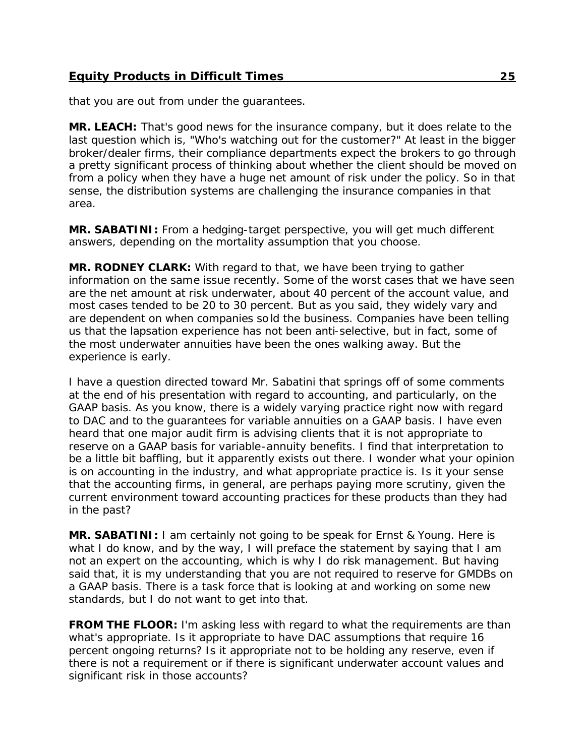that you are out from under the guarantees.

**MR. LEACH:** That's good news for the insurance company, but it does relate to the last question which is, "Who's watching out for the customer?" At least in the bigger broker/dealer firms, their compliance departments expect the brokers to go through a pretty significant process of thinking about whether the client should be moved on from a policy when they have a huge net amount of risk under the policy. So in that sense, the distribution systems are challenging the insurance companies in that area.

**MR. SABATINI:** From a hedging-target perspective, you will get much different answers, depending on the mortality assumption that you choose.

**MR. RODNEY CLARK:** With regard to that, we have been trying to gather information on the same issue recently. Some of the worst cases that we have seen are the net amount at risk underwater, about 40 percent of the account value, and most cases tended to be 20 to 30 percent. But as you said, they widely vary and are dependent on when companies sold the business. Companies have been telling us that the lapsation experience has not been anti-selective, but in fact, some of the most underwater annuities have been the ones walking away. But the experience is early.

I have a question directed toward Mr. Sabatini that springs off of some comments at the end of his presentation with regard to accounting, and particularly, on the GAAP basis. As you know, there is a widely varying practice right now with regard to DAC and to the guarantees for variable annuities on a GAAP basis. I have even heard that one major audit firm is advising clients that it is not appropriate to reserve on a GAAP basis for variable-annuity benefits. I find that interpretation to be a little bit baffling, but it apparently exists out there. I wonder what your opinion is on accounting in the industry, and what appropriate practice is. Is it your sense that the accounting firms, in general, are perhaps paying more scrutiny, given the current environment toward accounting practices for these products than they had in the past?

**MR. SABATINI:** I am certainly not going to be speak for Ernst & Young. Here is what I do know, and by the way, I will preface the statement by saying that I am not an expert on the accounting, which is why I do risk management. But having said that, it is my understanding that you are not required to reserve for GMDBs on a GAAP basis. There is a task force that is looking at and working on some new standards, but I do not want to get into that.

**FROM THE FLOOR:** I'm asking less with regard to what the requirements are than what's appropriate. Is it appropriate to have DAC assumptions that require 16 percent ongoing returns? Is it appropriate not to be holding any reserve, even if there is not a requirement or if there is significant underwater account values and significant risk in those accounts?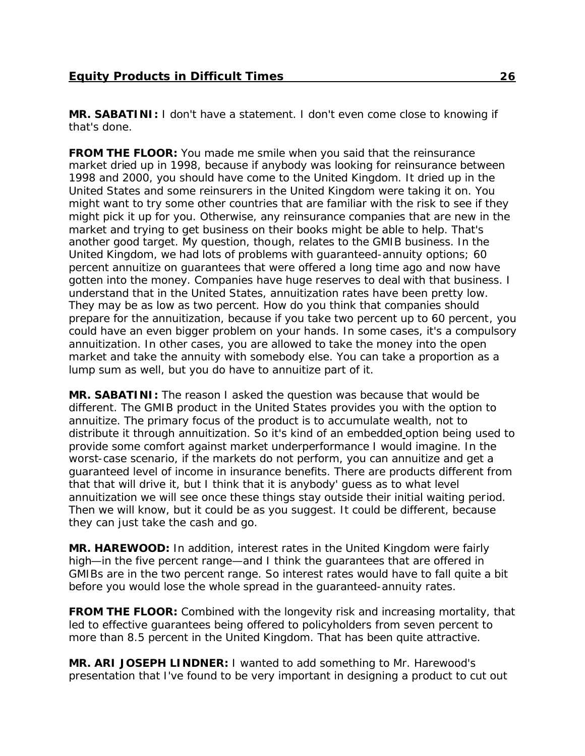**MR. SABATINI:** I don't have a statement. I don't even come close to knowing if that's done.

**FROM THE FLOOR:** You made me smile when you said that the reinsurance market dried up in 1998, because if anybody was looking for reinsurance between 1998 and 2000, you should have come to the United Kingdom. It dried up in the United States and some reinsurers in the United Kingdom were taking it on. You might want to try some other countries that are familiar with the risk to see if they might pick it up for you. Otherwise, any reinsurance companies that are new in the market and trying to get business on their books might be able to help. That's another good target. My question, though, relates to the GMIB business. In the United Kingdom, we had lots of problems with guaranteed-annuity options; 60 percent annuitize on guarantees that were offered a long time ago and now have gotten into the money. Companies have huge reserves to deal with that business. I understand that in the United States, annuitization rates have been pretty low. They may be as low as two percent. How do you think that companies should prepare for the annuitization, because if you take two percent up to 60 percent, you could have an even bigger problem on your hands. In some cases, it's a compulsory annuitization. In other cases, you are allowed to take the money into the open market and take the annuity with somebody else. You can take a proportion as a lump sum as well, but you do have to annuitize part of it.

**MR. SABATINI:** The reason I asked the question was because that would be different. The GMIB product in the United States provides you with the option to annuitize. The primary focus of the product is to accumulate wealth, not to distribute it through annuitization. So it's kind of an embedded option being used to provide some comfort against market underperformance I would imagine. In the worst-case scenario, if the markets do not perform, you can annuitize and get a guaranteed level of income in insurance benefits. There are products different from that that will drive it, but I think that it is anybody' guess as to what level annuitization we will see once these things stay outside their initial waiting period. Then we will know, but it could be as you suggest. It could be different, because they can just take the cash and go.

**MR. HAREWOOD:** In addition, interest rates in the United Kingdom were fairly high—in the five percent range—and I think the guarantees that are offered in GMIBs are in the two percent range. So interest rates would have to fall quite a bit before you would lose the whole spread in the guaranteed-annuity rates.

**FROM THE FLOOR:** Combined with the longevity risk and increasing mortality, that led to effective guarantees being offered to policyholders from seven percent to more than 8.5 percent in the United Kingdom. That has been quite attractive.

**MR. ARI JOSEPH LINDNER:** I wanted to add something to Mr. Harewood's presentation that I've found to be very important in designing a product to cut out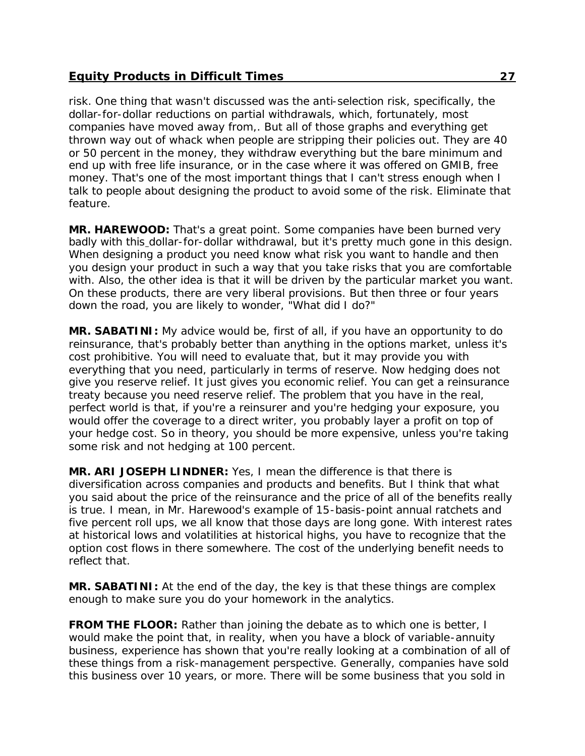risk. One thing that wasn't discussed was the anti-selection risk, specifically, the dollar-for-dollar reductions on partial withdrawals, which, fortunately, most companies have moved away from,. But all of those graphs and everything get thrown way out of whack when people are stripping their policies out. They are 40 or 50 percent in the money, they withdraw everything but the bare minimum and end up with free life insurance, or in the case where it was offered on GMIB, free money. That's one of the most important things that I can't stress enough when I talk to people about designing the product to avoid some of the risk. Eliminate that feature.

**MR. HAREWOOD:** That's a great point. Some companies have been burned very badly with this dollar-for-dollar withdrawal, but it's pretty much gone in this design. When designing a product you need know what risk you want to handle and then you design your product in such a way that you take risks that you are comfortable with. Also, the other idea is that it will be driven by the particular market you want. On these products, there are very liberal provisions. But then three or four years down the road, you are likely to wonder, "What did I do?"

**MR. SABATINI:** My advice would be, first of all, if you have an opportunity to do reinsurance, that's probably better than anything in the options market, unless it's cost prohibitive. You will need to evaluate that, but it may provide you with everything that you need, particularly in terms of reserve. Now hedging does not give you reserve relief. It just gives you economic relief. You can get a reinsurance treaty because you need reserve relief. The problem that you have in the real, perfect world is that, if you're a reinsurer and you're hedging your exposure, you would offer the coverage to a direct writer, you probably layer a profit on top of your hedge cost. So in theory, you should be more expensive, unless you're taking some risk and not hedging at 100 percent.

**MR. ARI JOSEPH LINDNER:** Yes, I mean the difference is that there is diversification across companies and products and benefits. But I think that what you said about the price of the reinsurance and the price of all of the benefits really is true. I mean, in Mr. Harewood's example of 15-basis-point annual ratchets and five percent roll ups, we all know that those days are long gone. With interest rates at historical lows and volatilities at historical highs, you have to recognize that the option cost flows in there somewhere. The cost of the underlying benefit needs to reflect that.

**MR. SABATINI:** At the end of the day, the key is that these things are complex enough to make sure you do your homework in the analytics.

**FROM THE FLOOR:** Rather than joining the debate as to which one is better, I would make the point that, in reality, when you have a block of variable-annuity business, experience has shown that you're really looking at a combination of all of these things from a risk-management perspective. Generally, companies have sold this business over 10 years, or more. There will be some business that you sold in